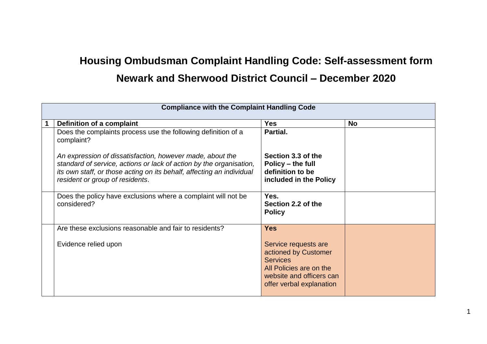## **Housing Ombudsman Complaint Handling Code: Self-assessment form Newark and Sherwood District Council – December 2020**

| <b>Compliance with the Complaint Handling Code</b> |                                                                                                                                                                                                                                              |                                                                                                                                                    |           |
|----------------------------------------------------|----------------------------------------------------------------------------------------------------------------------------------------------------------------------------------------------------------------------------------------------|----------------------------------------------------------------------------------------------------------------------------------------------------|-----------|
|                                                    | Definition of a complaint                                                                                                                                                                                                                    | <b>Yes</b>                                                                                                                                         | <b>No</b> |
|                                                    | Does the complaints process use the following definition of a<br>complaint?                                                                                                                                                                  | Partial.                                                                                                                                           |           |
|                                                    | An expression of dissatisfaction, however made, about the<br>standard of service, actions or lack of action by the organisation,<br>its own staff, or those acting on its behalf, affecting an individual<br>resident or group of residents. | Section 3.3 of the<br>Policy – the full<br>definition to be<br>included in the Policy                                                              |           |
|                                                    | Does the policy have exclusions where a complaint will not be<br>considered?                                                                                                                                                                 | Yes.<br>Section 2.2 of the<br><b>Policy</b>                                                                                                        |           |
|                                                    | Are these exclusions reasonable and fair to residents?                                                                                                                                                                                       | <b>Yes</b>                                                                                                                                         |           |
|                                                    | Evidence relied upon                                                                                                                                                                                                                         | Service requests are<br>actioned by Customer<br><b>Services</b><br>All Policies are on the<br>website and officers can<br>offer verbal explanation |           |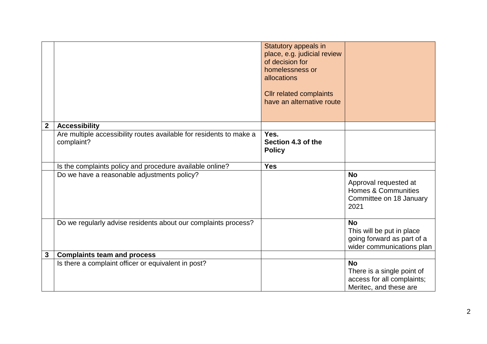|              |                                                                                   | Statutory appeals in<br>place, e.g. judicial review<br>of decision for<br>homelessness or<br>allocations<br><b>Cllr related complaints</b><br>have an alternative route |                                                                                                   |
|--------------|-----------------------------------------------------------------------------------|-------------------------------------------------------------------------------------------------------------------------------------------------------------------------|---------------------------------------------------------------------------------------------------|
| $\mathbf 2$  | <b>Accessibility</b>                                                              |                                                                                                                                                                         |                                                                                                   |
|              | Are multiple accessibility routes available for residents to make a<br>complaint? | Yes.<br>Section 4.3 of the<br><b>Policy</b>                                                                                                                             |                                                                                                   |
|              | Is the complaints policy and procedure available online?                          | <b>Yes</b>                                                                                                                                                              |                                                                                                   |
|              | Do we have a reasonable adjustments policy?                                       |                                                                                                                                                                         | <b>No</b><br>Approval requested at<br>Homes & Communities<br>Committee on 18 January<br>2021      |
|              | Do we regularly advise residents about our complaints process?                    |                                                                                                                                                                         | <b>No</b><br>This will be put in place<br>going forward as part of a<br>wider communications plan |
| $\mathbf{3}$ | <b>Complaints team and process</b>                                                |                                                                                                                                                                         |                                                                                                   |
|              | Is there a complaint officer or equivalent in post?                               |                                                                                                                                                                         | <b>No</b><br>There is a single point of<br>access for all complaints;<br>Meritec, and these are   |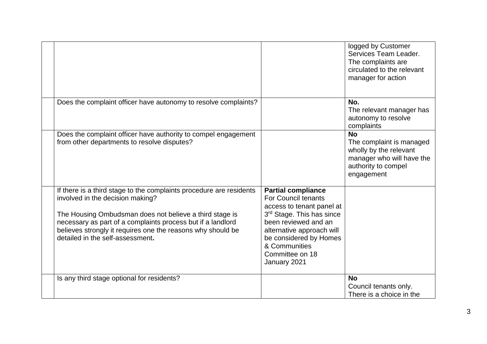|                                                                                                                                                                                                                                                                                                                                      |                                                                                                                                                                                                                                                      | logged by Customer<br>Services Team Leader.<br>The complaints are<br>circulated to the relevant<br>manager for action             |
|--------------------------------------------------------------------------------------------------------------------------------------------------------------------------------------------------------------------------------------------------------------------------------------------------------------------------------------|------------------------------------------------------------------------------------------------------------------------------------------------------------------------------------------------------------------------------------------------------|-----------------------------------------------------------------------------------------------------------------------------------|
| Does the complaint officer have autonomy to resolve complaints?                                                                                                                                                                                                                                                                      |                                                                                                                                                                                                                                                      | No.<br>The relevant manager has<br>autonomy to resolve<br>complaints                                                              |
| Does the complaint officer have authority to compel engagement<br>from other departments to resolve disputes?                                                                                                                                                                                                                        |                                                                                                                                                                                                                                                      | <b>No</b><br>The complaint is managed<br>wholly by the relevant<br>manager who will have the<br>authority to compel<br>engagement |
| If there is a third stage to the complaints procedure are residents<br>involved in the decision making?<br>The Housing Ombudsman does not believe a third stage is<br>necessary as part of a complaints process but if a landlord<br>believes strongly it requires one the reasons why should be<br>detailed in the self-assessment. | <b>Partial compliance</b><br><b>For Council tenants</b><br>access to tenant panel at<br>3rd Stage. This has since<br>been reviewed and an<br>alternative approach will<br>be considered by Homes<br>& Communities<br>Committee on 18<br>January 2021 |                                                                                                                                   |
| Is any third stage optional for residents?                                                                                                                                                                                                                                                                                           |                                                                                                                                                                                                                                                      | <b>No</b><br>Council tenants only.<br>There is a choice in the                                                                    |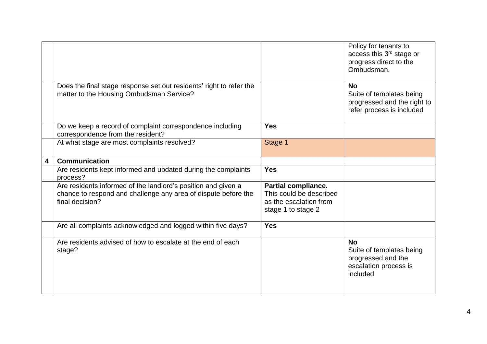|   |                                                                                                                                                    |                                                                                                       | Policy for tenants to<br>access this 3rd stage or<br>progress direct to the<br>Ombudsman.         |
|---|----------------------------------------------------------------------------------------------------------------------------------------------------|-------------------------------------------------------------------------------------------------------|---------------------------------------------------------------------------------------------------|
|   | Does the final stage response set out residents' right to refer the<br>matter to the Housing Ombudsman Service?                                    |                                                                                                       | <b>No</b><br>Suite of templates being<br>progressed and the right to<br>refer process is included |
|   | Do we keep a record of complaint correspondence including<br>correspondence from the resident?                                                     | <b>Yes</b>                                                                                            |                                                                                                   |
|   | At what stage are most complaints resolved?                                                                                                        | Stage 1                                                                                               |                                                                                                   |
| 4 | <b>Communication</b>                                                                                                                               |                                                                                                       |                                                                                                   |
|   | Are residents kept informed and updated during the complaints<br>process?                                                                          | <b>Yes</b>                                                                                            |                                                                                                   |
|   | Are residents informed of the landlord's position and given a<br>chance to respond and challenge any area of dispute before the<br>final decision? | <b>Partial compliance.</b><br>This could be described<br>as the escalation from<br>stage 1 to stage 2 |                                                                                                   |
|   | Are all complaints acknowledged and logged within five days?                                                                                       | <b>Yes</b>                                                                                            |                                                                                                   |
|   | Are residents advised of how to escalate at the end of each<br>stage?                                                                              |                                                                                                       | <b>No</b><br>Suite of templates being<br>progressed and the<br>escalation process is<br>included  |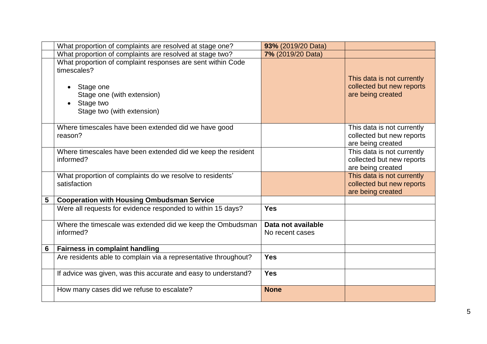|                 | What proportion of complaints are resolved at stage one?                                                                                                         | 93% (2019/20 Data)                    |                                                                              |
|-----------------|------------------------------------------------------------------------------------------------------------------------------------------------------------------|---------------------------------------|------------------------------------------------------------------------------|
|                 | What proportion of complaints are resolved at stage two?                                                                                                         | 7% (2019/20 Data)                     |                                                                              |
|                 | What proportion of complaint responses are sent within Code<br>timescales?<br>Stage one<br>Stage one (with extension)<br>Stage two<br>Stage two (with extension) |                                       | This data is not currently<br>collected but new reports<br>are being created |
|                 | Where timescales have been extended did we have good<br>reason?                                                                                                  |                                       | This data is not currently<br>collected but new reports<br>are being created |
|                 | Where timescales have been extended did we keep the resident<br>informed?                                                                                        |                                       | This data is not currently<br>collected but new reports<br>are being created |
|                 | What proportion of complaints do we resolve to residents'<br>satisfaction                                                                                        |                                       | This data is not currently<br>collected but new reports<br>are being created |
| 5               | <b>Cooperation with Housing Ombudsman Service</b>                                                                                                                |                                       |                                                                              |
|                 | Were all requests for evidence responded to within 15 days?                                                                                                      | <b>Yes</b>                            |                                                                              |
|                 | Where the timescale was extended did we keep the Ombudsman<br>informed?                                                                                          | Data not available<br>No recent cases |                                                                              |
| $6\phantom{1}6$ | <b>Fairness in complaint handling</b>                                                                                                                            |                                       |                                                                              |
|                 | Are residents able to complain via a representative throughout?                                                                                                  | <b>Yes</b>                            |                                                                              |
|                 | If advice was given, was this accurate and easy to understand?                                                                                                   | <b>Yes</b>                            |                                                                              |
|                 | How many cases did we refuse to escalate?                                                                                                                        | <b>None</b>                           |                                                                              |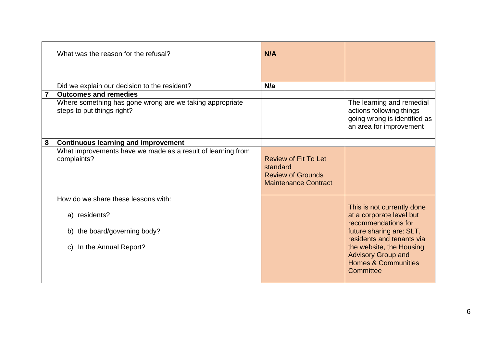|                | What was the reason for the refusal?                                                                                          | N/A                                                                                                |                                                                                                                                                                                                                                                |
|----------------|-------------------------------------------------------------------------------------------------------------------------------|----------------------------------------------------------------------------------------------------|------------------------------------------------------------------------------------------------------------------------------------------------------------------------------------------------------------------------------------------------|
|                | Did we explain our decision to the resident?                                                                                  | N/a                                                                                                |                                                                                                                                                                                                                                                |
| $\overline{7}$ | <b>Outcomes and remedies</b>                                                                                                  |                                                                                                    |                                                                                                                                                                                                                                                |
|                | Where something has gone wrong are we taking appropriate<br>steps to put things right?                                        |                                                                                                    | The learning and remedial<br>actions following things<br>going wrong is identified as<br>an area for improvement                                                                                                                               |
| 8              | <b>Continuous learning and improvement</b>                                                                                    |                                                                                                    |                                                                                                                                                                                                                                                |
|                | What improvements have we made as a result of learning from<br>complaints?                                                    | <b>Review of Fit To Let</b><br>standard<br><b>Review of Grounds</b><br><b>Maintenance Contract</b> |                                                                                                                                                                                                                                                |
|                | How do we share these lessons with:<br>a) residents?<br>b) the board/governing body?<br>In the Annual Report?<br>$\mathsf{C}$ |                                                                                                    | This is not currently done<br>at a corporate level but<br>recommendations for<br>future sharing are: SLT,<br>residents and tenants via<br>the website, the Housing<br><b>Advisory Group and</b><br><b>Homes &amp; Communities</b><br>Committee |